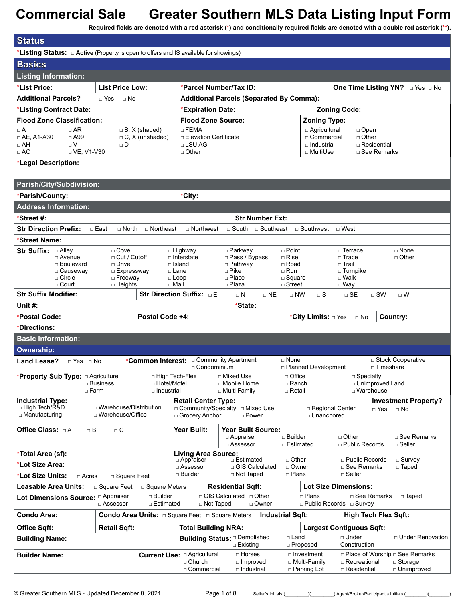**Required fields are denoted with a red asterisk (\*) and conditionally required fields are denoted with a double red asterisk (\*\*).**

| <b>Status</b>                                                                                    |                                                |                                                                  |                                                                     |                                                               |                                                 |                                                      |                                                               |
|--------------------------------------------------------------------------------------------------|------------------------------------------------|------------------------------------------------------------------|---------------------------------------------------------------------|---------------------------------------------------------------|-------------------------------------------------|------------------------------------------------------|---------------------------------------------------------------|
| <b>*Listing Status:</b> $\Box$ Active (Property is open to offers and IS available for showings) |                                                |                                                                  |                                                                     |                                                               |                                                 |                                                      |                                                               |
| <b>Basics</b>                                                                                    |                                                |                                                                  |                                                                     |                                                               |                                                 |                                                      |                                                               |
| <b>Listing Information:</b>                                                                      |                                                |                                                                  |                                                                     |                                                               |                                                 |                                                      |                                                               |
| *List Price:                                                                                     | <b>List Price Low:</b>                         |                                                                  |                                                                     | *Parcel Number/Tax ID:                                        |                                                 |                                                      | One Time Listing YN? DYes DNo                                 |
| <b>Additional Parcels?</b>                                                                       | □ Yes<br>$\Box$ No                             |                                                                  |                                                                     | <b>Additional Parcels (Separated By Comma):</b>               |                                                 |                                                      |                                                               |
| *Listing Contract Date:                                                                          |                                                |                                                                  | *Expiration Date:                                                   |                                                               |                                                 | <b>Zoning Code:</b>                                  |                                                               |
| <b>Flood Zone Classification:</b>                                                                |                                                |                                                                  | <b>Flood Zone Source:</b>                                           |                                                               |                                                 | <b>Zoning Type:</b>                                  |                                                               |
| $\Box$ AR<br>$\Box A$                                                                            |                                                | $\Box$ B, X (shaded)                                             | $\Box$ FEMA                                                         |                                                               |                                                 | □ Agricultural<br>$\Box$ Open                        |                                                               |
| $\Box$ AE, A1-A30<br>$\Box$ A99<br>$\Box$ AH<br>$\sqcap V$                                       | $\Box$ D                                       | $\Box$ C, X (unshaded)                                           | <b>Elevation Certificate</b><br>$\Box$ LSU AG                       |                                                               |                                                 | □ Commercial<br>$\Box$ Other<br>$\square$ Industrial | □ Residential                                                 |
| $\Box$ AO<br>□ VE, V1-V30                                                                        |                                                |                                                                  | $\Box$ Other                                                        |                                                               |                                                 | □ MultiUse                                           | □ See Remarks                                                 |
| *Legal Description:                                                                              |                                                |                                                                  |                                                                     |                                                               |                                                 |                                                      |                                                               |
|                                                                                                  |                                                |                                                                  |                                                                     |                                                               |                                                 |                                                      |                                                               |
| Parish/City/Subdivision:                                                                         |                                                |                                                                  |                                                                     |                                                               |                                                 |                                                      |                                                               |
| *Parish/County:                                                                                  |                                                |                                                                  | *City:                                                              |                                                               |                                                 |                                                      |                                                               |
| <b>Address Information:</b>                                                                      |                                                |                                                                  |                                                                     |                                                               |                                                 |                                                      |                                                               |
| *Street #:                                                                                       |                                                |                                                                  |                                                                     | <b>Str Number Ext:</b>                                        |                                                 |                                                      |                                                               |
| <b>Str Direction Prefix:</b>                                                                     | □ East<br>$\Box$ North                         | □ Northeast                                                      | □ Northwest                                                         | □ South □ Southeast □ Southwest □ West                        |                                                 |                                                      |                                                               |
| *Street Name:                                                                                    |                                                |                                                                  |                                                                     |                                                               |                                                 |                                                      |                                                               |
| Str Suffix: Alley                                                                                | $\Box$ Cove                                    |                                                                  | $\Box$ Highway                                                      | □ Parkway                                                     | $\sqcap$ Point                                  | □ Terrace                                            | $\sqcap$ None                                                 |
| □ Avenue<br>□ Boulevard                                                                          | $\Box$ Cut / Cutoff<br>$\Box$ Drive            |                                                                  | $\Box$ Interstate<br>$\Box$ Island                                  | □ Pass / Bypass<br>□ Pathway                                  | $\Box$ Rise<br>$\Box$ Road                      | $\sqcap$ Trace<br>□ Trail                            | $\Box$ Other                                                  |
| □ Causeway                                                                                       | □ Expressway                                   |                                                                  | □ Lane                                                              | $\Box$ Pike                                                   | $\Box$ Run                                      | $\square$ Turnpike                                   |                                                               |
| $\Box$ Circle<br>□ Court                                                                         | $\Box$ Freeway<br>$\Box$ Heights               | $\Box$ Mall                                                      | $\Box$ Loop                                                         | $\Box$ Place<br>$\Box$ Plaza                                  | $\square$ Square<br>$\Box$ Street               | □ Walk<br>□ Way                                      |                                                               |
| <b>Str Suffix Modifier:</b>                                                                      |                                                |                                                                  | Str Direction Suffix: DE                                            | $\Box$ N<br>$\Box$ NE                                         | $\Box$ NW                                       | $\Box$ SE<br>$\Box$ S                                | $\Box$ SW<br>$\Box$ W                                         |
| Unit #:                                                                                          |                                                |                                                                  |                                                                     | *State:                                                       |                                                 |                                                      |                                                               |
| *Postal Code:                                                                                    |                                                | Postal Code +4:                                                  |                                                                     |                                                               |                                                 | *City Limits: □ Yes □ No                             | Country:                                                      |
| *Directions:                                                                                     |                                                |                                                                  |                                                                     |                                                               |                                                 |                                                      |                                                               |
| <b>Basic Information:</b>                                                                        |                                                |                                                                  |                                                                     |                                                               |                                                 |                                                      |                                                               |
| <b>Ownership:</b>                                                                                |                                                |                                                                  |                                                                     |                                                               |                                                 |                                                      |                                                               |
| Land Lease?<br>$\Box$ Yes $\Box$ No                                                              |                                                | *Common Interest: <sub>□</sub> Community Apartment               |                                                                     |                                                               | □ None                                          |                                                      | □ Stock Cooperative                                           |
|                                                                                                  |                                                |                                                                  | □ Condominium                                                       |                                                               |                                                 | □ Planned Development                                | □ Timeshare                                                   |
| *Property Sub Type: a Agriculture                                                                | □ Business                                     | □ High Tech-Flex<br>□ Hotel/Motel                                |                                                                     | □ Mixed Use<br>□ Mobile Home                                  | □ Office<br>□ Ranch                             | $\Box$ Specialty                                     | □ Unimproved Land                                             |
| $\Box$ Farm                                                                                      |                                                | □ Industrial                                                     |                                                                     | □ Multi Family                                                | □ Retail                                        |                                                      | □ Warehouse                                                   |
| <b>Industrial Type:</b>                                                                          |                                                |                                                                  | <b>Retail Center Type:</b>                                          |                                                               |                                                 |                                                      | <b>Investment Property?</b>                                   |
| □ High Tech/R&D<br>$\Box$ Manufacturing                                                          | □ Warehouse/Distribution<br>□ Warehouse/Office |                                                                  | □ Grocery Anchor                                                    | $\Box$ Community/Specialty $\Box$ Mixed Use<br>$\sqcap$ Power |                                                 | □ Regional Center<br>□ Unanchored                    | $\Box$ Yes<br>$\Box$ No                                       |
|                                                                                                  |                                                |                                                                  |                                                                     |                                                               |                                                 |                                                      |                                                               |
| Office Class: DA<br>$\Box$ B                                                                     | $\Box$ $\mathsf{C}$                            |                                                                  | Year Built:                                                         | <b>Year Built Source:</b><br>□ Appraiser                      | □ Builder                                       | □ Other                                              | □ See Remarks                                                 |
|                                                                                                  |                                                |                                                                  |                                                                     | □ Assessor                                                    | □ Estimated                                     | □ Public Records                                     | $\Box$ Seller                                                 |
| *Total Area (sf):                                                                                |                                                |                                                                  | <b>Living Area Source:</b><br>□ Appraiser                           | □ Estimated                                                   | $\Box$ Other                                    | □ Public Records                                     | □ Survey                                                      |
| *Lot Size Area:                                                                                  |                                                |                                                                  | □ Assessor                                                          | □ GIS Calculated                                              | □ Owner                                         | □ See Remarks                                        | □ Taped                                                       |
| *Lot Size Units:<br>□ Acres                                                                      | □ Square Feet                                  |                                                                  | □ Builder                                                           | □ Not Taped                                                   | $\Box$ Plans                                    | $\Box$ Seller                                        |                                                               |
| <b>Leasable Area Units:</b>                                                                      | □ Square Feet                                  | □ Square Meters                                                  |                                                                     | <b>Residential Sqft:</b>                                      |                                                 | <b>Lot Size Dimensions:</b>                          |                                                               |
| Lot Dimensions Source: <sup>C Appraiser</sup>                                                    | □ Assessor                                     | $\square$ Builder<br>□ Estimated                                 | □ Not Taped                                                         | □ GIS Calculated □ Other<br>□ Owner                           | $\Box$ Plans                                    | □ Public Records □ Survey                            | □ See Remarks<br>□ Taped                                      |
| Condo Area:                                                                                      |                                                | <b>Condo Area Units:</b> $\Box$ Square Feet $\Box$ Square Meters |                                                                     |                                                               | <b>Industrial Sqft:</b>                         |                                                      | <b>High Tech Flex Sqft:</b>                                   |
| <b>Office Sqft:</b>                                                                              | <b>Retail Sqft:</b>                            |                                                                  | <b>Total Building NRA:</b>                                          |                                                               |                                                 | <b>Largest Contiguous Sqft:</b>                      |                                                               |
| <b>Building Name:</b>                                                                            |                                                |                                                                  |                                                                     | <b>Building Status: Demolished</b><br>$\Box$ Existing         | $\square$ Land<br>□ Proposed                    | □ Under<br>Construction                              | □ Under Renovation                                            |
| <b>Builder Name:</b>                                                                             |                                                |                                                                  | <b>Current Use: a Agricultural</b><br>$\Box$ Church<br>□ Commercial | $\Box$ Horses<br>$\Box$ Improved<br>□ Industrial              | □ Investment<br>□ Multi-Family<br>□ Parking Lot | □ Recreational<br>□ Residential                      | □ Place of Worship □ See Remarks<br>□ Storage<br>□ Unimproved |

© Greater Southern MLS - Updated December 8, 2021 Page 1 of 8 Seller's Initials (\_\_\_\_\_\_\_\_)(\_\_\_\_\_\_\_) Agent/Broker/Participant's Initials (\_\_\_\_\_\_\_)(\_\_\_\_\_\_\_\_\_)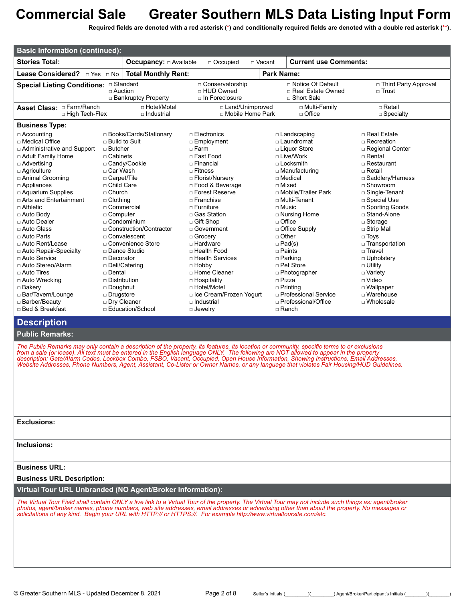**Required fields are denoted with a red asterisk (\*) and conditionally required fields are denoted with a double red asterisk (\*\*).**

| <b>Basic Information (continued):</b>                                                                                                                                                                                                                                                                                     |                                                                                                                                                                                         |                                                                                                       |                                                                                                                                                                                                                                                                                           |                 |                                                                                                                                                                                                                                                                                |                                                                                                                                                                                                                                                                             |
|---------------------------------------------------------------------------------------------------------------------------------------------------------------------------------------------------------------------------------------------------------------------------------------------------------------------------|-----------------------------------------------------------------------------------------------------------------------------------------------------------------------------------------|-------------------------------------------------------------------------------------------------------|-------------------------------------------------------------------------------------------------------------------------------------------------------------------------------------------------------------------------------------------------------------------------------------------|-----------------|--------------------------------------------------------------------------------------------------------------------------------------------------------------------------------------------------------------------------------------------------------------------------------|-----------------------------------------------------------------------------------------------------------------------------------------------------------------------------------------------------------------------------------------------------------------------------|
| <b>Stories Total:</b>                                                                                                                                                                                                                                                                                                     |                                                                                                                                                                                         | <b>Occupancy:</b> $\Box$ Available                                                                    | □ Occupied                                                                                                                                                                                                                                                                                | $\sqcap$ Vacant | <b>Current use Comments:</b>                                                                                                                                                                                                                                                   |                                                                                                                                                                                                                                                                             |
| Lease Considered? <b>Dies</b> DNo                                                                                                                                                                                                                                                                                         |                                                                                                                                                                                         | <b>Total Monthly Rent:</b>                                                                            |                                                                                                                                                                                                                                                                                           |                 | <b>Park Name:</b>                                                                                                                                                                                                                                                              |                                                                                                                                                                                                                                                                             |
|                                                                                                                                                                                                                                                                                                                           | $\Box$ Auction                                                                                                                                                                          | □ Bankruptcy Property                                                                                 | □ Conservatorship<br>□ HUD Owned<br>$\Box$ In Foreclosure                                                                                                                                                                                                                                 |                 | □ Notice Of Default<br>□ Real Estate Owned<br>□ Short Sale                                                                                                                                                                                                                     | □ Third Party Approval<br>$\sqcap$ Trust                                                                                                                                                                                                                                    |
| □ High Tech-Flex                                                                                                                                                                                                                                                                                                          |                                                                                                                                                                                         | □ Hotel/Motel<br>□ Industrial                                                                         | □ Land/Unimproved<br>□ Mobile Home Park                                                                                                                                                                                                                                                   |                 | □ Multi-Family<br>$\Box$ Office                                                                                                                                                                                                                                                | $\sqcap$ Retail<br>$\square$ Specialty                                                                                                                                                                                                                                      |
| <b>Business Type:</b>                                                                                                                                                                                                                                                                                                     |                                                                                                                                                                                         |                                                                                                       |                                                                                                                                                                                                                                                                                           |                 |                                                                                                                                                                                                                                                                                |                                                                                                                                                                                                                                                                             |
| $\Box$ Accounting<br>□ Medical Office<br>□ Administrative and Support<br>□ Adult Family Home<br>$\Box$ Advertising<br>$\Box$ Agriculture<br>□ Animal Grooming<br>$\Box$ Appliances<br>$\Box$ Aquarium Supplies<br>□ Arts and Entertainment<br>$\Box$ Athletic<br>$\Box$ Auto Body<br>□ Auto Dealer<br>$\sqcap$ Auto Glass | $\sqcap$ Build to Suit<br>$\sqcap$ Butcher<br>$\sqcap$ Cabinets<br>□ Car Wash<br>□ Carpet/Tile<br>$\sqcap$ Child Care<br>$\Box$ Church<br>$\Box$ Clothing<br>□ Commercial<br>□ Computer | □ Books/Cards/Stationary<br>□ Candy/Cookie<br>$\Box$ Condominium<br>□ Construction/Contractor         | $\sqcap$ Electronics<br>□ Employment<br>$\sqcap$ Farm<br>□ Fast Food<br>$\sqcap$ Financial<br>$\sqcap$ Fitness<br>□ Florist/Nursery<br>$\Box$ Food & Beverage<br>$\sqcap$ Forest Reserve<br>$\Box$ Franchise<br>$\sqcap$ Furniture<br>□ Gas Station<br>□ Gift Shop<br>$\sqcap$ Government |                 | □ Landscaping<br>□ Laundromat<br>□ Liquor Store<br>□ Live/Work<br>$\sqcap$ Locksmith<br>$\Box$ Manufacturing<br>$\sqcap$ Medical<br>$\sqcap$ Mixed<br>□ Mobile/Trailer Park<br>$\sqcap$ Multi-Tenant<br>$\sqcap$ Music<br>□ Nursing Home<br>$\sqcap$ Office<br>□ Office Supply | $\Box$ Real Estate<br>$\Box$ Recreation<br>□ Regional Center<br>$\Box$ Rental<br>□ Restaurant<br>$\sqcap$ Retail<br>□ Saddlery/Harness<br>$\sqcap$ Showroom<br>□ Single-Tenant<br>□ Special Use<br>□ Sporting Goods<br>□ Stand-Alone<br>$\Box$ Storage<br>$\Box$ Strip Mall |
| $\sqcap$ Auto Parts<br>□ Auto Rent/Lease<br>□ Auto Repair-Specialty<br>$\sqcap$ Auto Service<br>□ Auto Stereo/Alarm<br>$\Box$ Auto Tires<br>□ Auto Wrecking<br>□ Bakery<br>□ Bar/Tavern/Lounge<br>□ Barber/Beauty<br>□ Bed & Breakfast                                                                                    | $\Box$ Decorator<br>$\sqcap$ Dental<br>$\Box$ Distribution<br>$\Box$ Doughnut<br>□ Drugstore<br>□ Dry Cleaner                                                                           | $\Box$ Convalescent<br>□ Convenience Store<br>□ Dance Studio<br>□ Deli/Catering<br>□ Education/School | □ Grocery<br>$\Box$ Hardware<br>□ Health Food<br>$\Box$ Health Services<br>$\Box$ Hobby<br>□ Home Cleaner<br>□ Hospitality<br>$\sqcap$ Hotel/Motel<br>□ Ice Cream/Frozen Yogurt<br>$\sqcap$ Industrial<br>$\Box$ Jewelry                                                                  |                 | $\sqcap$ Other<br>$\Box$ Pad(s)<br>$\sqcap$ Paints<br>$\Box$ Parking<br>$\sqcap$ Pet Store<br>□ Photographer<br>$\sqcap$ Pizza<br>$\Box$ Printing<br>□ Professional Service<br>□ Professional/Office<br>$\Box$ Ranch                                                           | $\Box$ Toys<br>□ Transportation<br>$\sqcap$ Travel<br>□ Upholstery<br>$\Box$ Utility<br>□ Variety<br>$\sqcap$ Video<br>□ Wallpaper<br>□ Warehouse<br>$\Box$ Wholesale                                                                                                       |

### **Description**

**Public Remarks:**

*The Public Remarks may only contain a description of the property, its features, its location or community, specific terms to or exclusions from a sale (or lease). All text must be entered in the English language ONLY. The following are NOT allowed to appear in the property description: Gate/Alarm Codes, Lockbox Combo, FSBO, Vacant, Occupied, Open House Information, Showing Instructions, Email Addresses, Website Addresses, Phone Numbers, Agent, Assistant, Co-Lister or Owner Names, or any language that violates Fair Housing/HUD Guidelines.*

**Exclusions:**

**Inclusions:**

#### **Business URL:**

#### **Business URL Description:**

**Virtual Tour URL Unbranded (NO Agent/Broker Information):**

*The Virtual Tour Field shall contain ONLY a live link to a Virtual Tour of the property. The Virtual Tour may not include such things as: agent/broker photos, agent/broker names, phone numbers, web site addresses, email addresses or advertising other than about the property. No messages or solicitations of any kind. Begin your URL with HTTP:// or HTTPS://. For example http://www.virtualtoursite.com/etc.*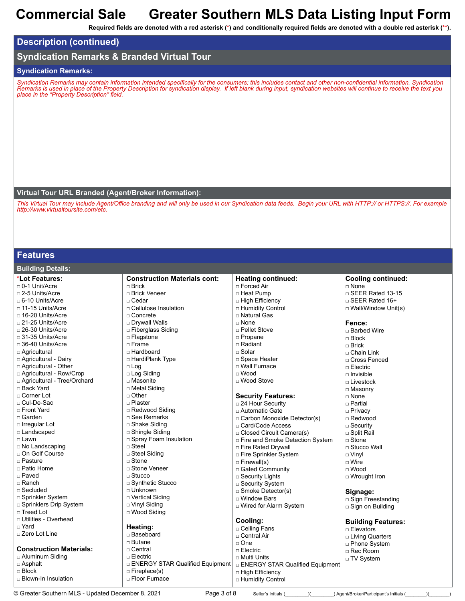**Required fields are denoted with a red asterisk (\*) and conditionally required fields are denoted with a double red asterisk (\*\*).**

### **Description (continued)**

### **Syndication Remarks & Branded Virtual Tour**

### **Syndication Remarks:**

*Syndication Remarks may contain information intended specifically for the consumers; this includes contact and other non-confidential information. Syndication Remarks is used in place of the Property Description for syndication display. If left blank during input, syndication websites will continue to receive the text you place in the "Property Description" field.*

#### **Virtual Tour URL Branded (Agent/Broker Information):**

*This Virtual Tour may include Agent/Office branding and will only be used in our Syndication data feeds. Begin your URL with HTTP:// or HTTPS://. For example http://www.virtualtoursite.com/etc.*

### **Features**

**Building Details:**

| <b>Panang Potano.</b>          |                                     |                                         |                            |
|--------------------------------|-------------------------------------|-----------------------------------------|----------------------------|
| *Lot Features:                 | <b>Construction Materials cont:</b> | <b>Heating continued:</b>               | <b>Cooling continued:</b>  |
| $\Box$ 0-1 Unit/Acre           | $\Box$ Brick                        | □ Forced Air                            | □ None                     |
| $\Box$ 2-5 Units/Acre          | □ Brick Veneer                      | □ Heat Pump                             | □ SEER Rated 13-15         |
| □ 6-10 Units/Acre              | □ Cedar                             | □ High Efficiency                       | □ SEER Rated 16+           |
| □ 11-15 Units/Acre             | □ Cellulose Insulation              | □ Humidity Control                      | $\Box$ Wall/Window Unit(s) |
| □ 16-20 Units/Acre             | $\sqcap$ Concrete                   | □ Natural Gas                           |                            |
| □ 21-25 Units/Acre             | □ Drywall Walls                     | $\sqcap$ None                           | Fence:                     |
| □ 26-30 Units/Acre             | □ Fiberglass Siding                 | □ Pellet Stove                          | □ Barbed Wire              |
| $\Box$ 31-35 Units/Acre        | □ Flagstone                         | □ Propane                               | $\sqcap$ Block             |
| $\Box$ 36-40 Units/Acre        | $\sqcap$ Frame                      | □ Radiant                               | $\Box$ Brick               |
| □ Agricultural                 | □ Hardboard                         | □ Solar                                 | □ Chain Link               |
| □ Agricultural - Dairy         | □ HardiPlank Type                   | □ Space Heater                          | □ Cross Fenced             |
| □ Agricultural - Other         | $\square$ Log                       | □ Wall Furnace                          | $\Box$ Electric            |
| □ Agricultural - Row/Crop      | □ Log Siding                        | $\sqcap$ Wood                           | $\Box$ Invisible           |
| □ Agricultural - Tree/Orchard  | □ Masonite                          | □ Wood Stove                            | □ Livestock                |
| □ Back Yard                    | □ Metal Siding                      |                                         | □ Masonry                  |
| □ Corner Lot                   | $\Box$ Other                        | <b>Security Features:</b>               | □ None                     |
| □ Cul-De-Sac                   | □ Plaster                           | $\Box$ 24 Hour Security                 | $\sqcap$ Partial           |
| □ Front Yard                   | □ Redwood Siding                    | □ Automatic Gate                        | □ Privacy                  |
| □ Garden                       | □ See Remarks                       | □ Carbon Monoxide Detector(s)           | □ Redwood                  |
| □ Irregular Lot                | □ Shake Siding                      | □ Card/Code Access                      | $\Box$ Security            |
| □ Landscaped                   | □ Shingle Siding                    | □ Closed Circuit Camera(s)              | □ Split Rail               |
| □ Lawn                         | □ Spray Foam Insulation             | □ Fire and Smoke Detection System       | □ Stone                    |
| □ No Landscaping               | $\Box$ Steel                        | □ Fire Rated Drywall                    | □ Stucco Wall              |
| □ On Golf Course               | □ Steel Siding                      | □ Fire Sprinkler System                 | $\Box$ Vinyl               |
| □ Pasture                      | $\Box$ Stone                        | $\Box$ Firewall(s)                      | $\Box$ Wire                |
| □ Patio Home                   | □ Stone Veneer                      | □ Gated Community                       | $\Box$ Wood                |
| □ Paved                        | $\Box$ Stucco                       | □ Security Lights                       | □ Wrought Iron             |
| □ Ranch                        | □ Synthetic Stucco                  | □ Security System                       |                            |
| $\Box$ Secluded                | □ Unknown                           | $\Box$ Smoke Detector(s)                | Signage:                   |
| □ Sprinkler System             | □ Vertical Siding                   | □ Window Bars                           | □ Sign Freestanding        |
| □ Sprinklers Drip System       | □ Vinyl Siding                      | □ Wired for Alarm System                | □ Sign on Building         |
| □ Treed Lot                    | □ Wood Siding                       |                                         |                            |
| □ Utilities - Overhead         |                                     | Cooling:                                | <b>Building Features:</b>  |
| □ Yard                         | Heating:                            | □ Ceiling Fans                          | □ Elevators                |
| □ Zero Lot Line                | □ Baseboard                         | □ Central Air                           | □ Living Quarters          |
|                                | $\square$ Butane                    | $\Box$ One                              | □ Phone System             |
| <b>Construction Materials:</b> | $\Box$ Central                      | $\Box$ Electric                         | $\Box$ Rec Room            |
| □ Aluminum Siding              | $\Box$ Electric                     | □ Multi Units                           | □ TV System                |
| $\Box$ Asphalt                 | □ ENERGY STAR Qualified Equipment   | <b>DENERGY STAR Qualified Equipment</b> |                            |
| $\Box$ Block                   | $\Box$ Fireplace(s)                 | □ High Efficiency                       |                            |
| $\Box$ Blown-In Insulation     | □ Floor Furnace                     | □ Humidity Control                      |                            |

© Greater Southern MLS - Updated December 8, 2021 Page 3 of 8 Seller's Initials (\_\_\_\_\_\_)(\_\_\_\_\_\_\_) Agent/Broker/Participant's Initials (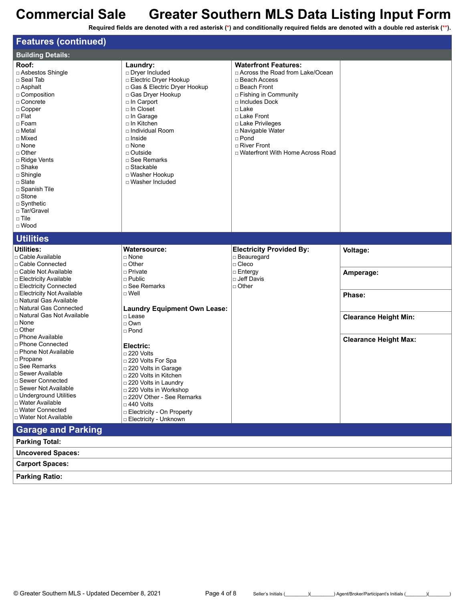| <b>Features (continued)</b>                                                                                                                                                                                                                                                                                                                                                                                                                                                                                                                                                                 |                                                                                                                                                                                                                                                                                                                                                                                                                                                            |                                                                                                                                                                                                                                                                                                 |                                                                                                 |
|---------------------------------------------------------------------------------------------------------------------------------------------------------------------------------------------------------------------------------------------------------------------------------------------------------------------------------------------------------------------------------------------------------------------------------------------------------------------------------------------------------------------------------------------------------------------------------------------|------------------------------------------------------------------------------------------------------------------------------------------------------------------------------------------------------------------------------------------------------------------------------------------------------------------------------------------------------------------------------------------------------------------------------------------------------------|-------------------------------------------------------------------------------------------------------------------------------------------------------------------------------------------------------------------------------------------------------------------------------------------------|-------------------------------------------------------------------------------------------------|
| <b>Building Details:</b>                                                                                                                                                                                                                                                                                                                                                                                                                                                                                                                                                                    |                                                                                                                                                                                                                                                                                                                                                                                                                                                            |                                                                                                                                                                                                                                                                                                 |                                                                                                 |
| Roof:<br>□ Asbestos Shingle<br>□ Seal Tab<br>$\Box$ Asphalt<br>□ Composition<br>□ Concrete<br>$\Box$ Copper<br>□ Flat<br>□ Foam<br>□ Metal<br>□ Mixed<br>□ None<br>$\Box$ Other<br>□ Ridge Vents<br>$\square$ Shake<br>$\Box$ Shingle<br>□ Slate<br>□ Spanish Tile<br>□ Stone<br>$\Box$ Synthetic<br>□ Tar/Gravel<br>$\Box$ Tile<br>$\Box$ Wood                                                                                                                                                                                                                                             | Laundry:<br>Dryer Included<br><b>Electric Dryer Hookup</b><br>□ Gas & Electric Dryer Hookup<br>□ Gas Dryer Hookup<br>□ In Carport<br>□ In Closet<br>□ In Garage<br>□ In Kitchen<br>□ Individual Room<br>$\Box$ Inside<br>$\Box$ None<br>$\Box$ Outside<br>□ See Remarks<br>$\Box$ Stackable<br>□ Washer Hookup<br>□ Washer Included                                                                                                                        | <b>Waterfront Features:</b><br>□ Across the Road from Lake/Ocean<br>□ Beach Access<br>□ Beach Front<br>□ Fishing in Community<br>$\Box$ Includes Dock<br>□ Lake<br>□ Lake Front<br>□ Lake Privileges<br>□ Navigable Water<br>$\Box$ Pond<br>□ River Front<br>□ Waterfront With Home Across Road |                                                                                                 |
| <b>Utilities</b>                                                                                                                                                                                                                                                                                                                                                                                                                                                                                                                                                                            |                                                                                                                                                                                                                                                                                                                                                                                                                                                            |                                                                                                                                                                                                                                                                                                 |                                                                                                 |
| Utilities:<br>$\Box$ Cable Available<br>□ Cable Connected<br>□ Cable Not Available<br><b>Electricity Available</b><br><b>Electricity Connected</b><br><b>Electricity Not Available</b><br>□ Natural Gas Available<br>□ Natural Gas Connected<br>□ Natural Gas Not Available<br>$\Box$ None<br>$\Box$ Other<br>□ Phone Available<br>□ Phone Connected<br>□ Phone Not Available<br>$\Box$ Propane<br>□ See Remarks<br>$\Box$ Sewer Available<br>□ Sewer Connected<br>$\Box$ Sewer Not Available<br>□ Underground Utilities<br>□ Water Available<br>□ Water Connected<br>□ Water Not Available | <b>Watersource:</b><br>□ None<br>□ Other<br>□ Private<br>$\Box$ Public<br>□ See Remarks<br>□ Well<br><b>Laundry Equipment Own Lease:</b><br>□ Lease<br>$\Box$ Own<br>□ Pond<br>Electric:<br>$\square$ 220 Volts<br>□ 220 Volts For Spa<br>□ 220 Volts in Garage<br>□ 220 Volts in Kitchen<br>□ 220 Volts in Laundry<br>□ 220 Volts in Workshop<br>□ 220V Other - See Remarks<br>$\Box$ 440 Volts<br>□ Electricity - On Property<br>□ Electricity - Unknown | <b>Electricity Provided By:</b><br>$\Box$ Beauregard<br>$\Box$ Cleco<br>$\Box$ Entergy<br>l□ Jeff Davis<br>$\Box$ Other                                                                                                                                                                         | Voltage:<br>Amperage:<br>Phase:<br><b>Clearance Height Min:</b><br><b>Clearance Height Max:</b> |
| <b>Garage and Parking</b>                                                                                                                                                                                                                                                                                                                                                                                                                                                                                                                                                                   |                                                                                                                                                                                                                                                                                                                                                                                                                                                            |                                                                                                                                                                                                                                                                                                 |                                                                                                 |
| <b>Parking Total:</b>                                                                                                                                                                                                                                                                                                                                                                                                                                                                                                                                                                       |                                                                                                                                                                                                                                                                                                                                                                                                                                                            |                                                                                                                                                                                                                                                                                                 |                                                                                                 |
| <b>Uncovered Spaces:</b>                                                                                                                                                                                                                                                                                                                                                                                                                                                                                                                                                                    |                                                                                                                                                                                                                                                                                                                                                                                                                                                            |                                                                                                                                                                                                                                                                                                 |                                                                                                 |
| <b>Carport Spaces:</b>                                                                                                                                                                                                                                                                                                                                                                                                                                                                                                                                                                      |                                                                                                                                                                                                                                                                                                                                                                                                                                                            |                                                                                                                                                                                                                                                                                                 |                                                                                                 |
| <b>Parking Ratio:</b>                                                                                                                                                                                                                                                                                                                                                                                                                                                                                                                                                                       |                                                                                                                                                                                                                                                                                                                                                                                                                                                            |                                                                                                                                                                                                                                                                                                 |                                                                                                 |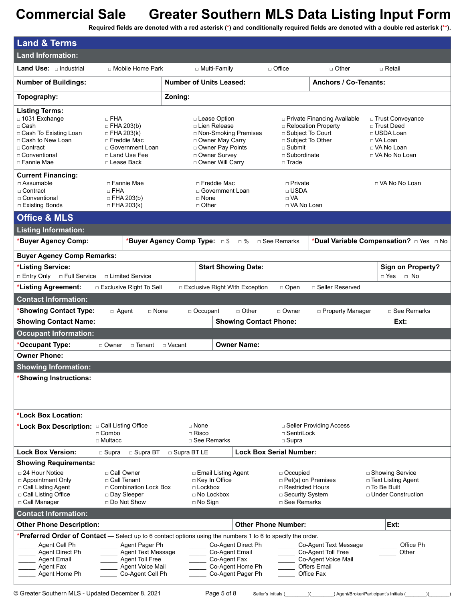| <b>Land &amp; Terms</b>                                                                                                                                                                                                                |                                                                                                                              |                                                                                                                                               |                                                                                           |                                                                                                                          |                                                                                                   |
|----------------------------------------------------------------------------------------------------------------------------------------------------------------------------------------------------------------------------------------|------------------------------------------------------------------------------------------------------------------------------|-----------------------------------------------------------------------------------------------------------------------------------------------|-------------------------------------------------------------------------------------------|--------------------------------------------------------------------------------------------------------------------------|---------------------------------------------------------------------------------------------------|
| <b>Land Information:</b>                                                                                                                                                                                                               |                                                                                                                              |                                                                                                                                               |                                                                                           |                                                                                                                          |                                                                                                   |
| <b>Land Use:</b> $\Box$ Industrial                                                                                                                                                                                                     | □ Mobile Home Park                                                                                                           | □ Multi-Family                                                                                                                                | $\Box$ Office                                                                             | $\Box$ Other                                                                                                             | $\sqcap$ Retail                                                                                   |
| <b>Number of Buildings:</b>                                                                                                                                                                                                            |                                                                                                                              | <b>Number of Units Leased:</b>                                                                                                                |                                                                                           | <b>Anchors / Co-Tenants:</b>                                                                                             |                                                                                                   |
| Topography:                                                                                                                                                                                                                            |                                                                                                                              | Zoning:                                                                                                                                       |                                                                                           |                                                                                                                          |                                                                                                   |
| <b>Listing Terms:</b><br>□ 1031 Exchange<br>□ Cash<br>□ Cash To Existing Loan<br>□ Cash to New Loan<br>□ Contract<br>□ Conventional<br>□ Fannie Mae                                                                                    | $\Box$ FHA<br>$\Box$ FHA 203(b)<br>$\Box$ FHA 203(k)<br>□ Freddie Mac<br>□ Government Loan<br>□ Land Use Fee<br>□ Lease Back | □ Lease Option<br>□ Lien Release<br>□ Non-Smoking Premises<br>□ Owner May Carry<br>□ Owner Pay Points<br>□ Owner Survey<br>□ Owner Will Carry | $\sqcap$ Submit<br>$\Box$ Trade                                                           | □ Private Financing Available<br>□ Relocation Property<br>□ Subject To Court<br>□ Subject To Other<br>$\Box$ Subordinate | □ Trust Conveyance<br>□ Trust Deed<br>□ USDA Loan<br>□ VA Loan<br>□ VA No Loan<br>□ VA No No Loan |
| <b>Current Financing:</b>                                                                                                                                                                                                              |                                                                                                                              |                                                                                                                                               |                                                                                           |                                                                                                                          |                                                                                                   |
| □ Assumable<br>□ Contract<br>□ Conventional<br>□ Existing Bonds                                                                                                                                                                        | □ Fannie Mae<br>$\Box$ FHA<br>$\Box$ FHA 203(b)<br>$\Box$ FHA 203(k)                                                         | □ Freddie Mac<br>□ Government Loan<br>$\Box$ None<br>$\Box$ Other                                                                             | $\Box$ Private<br>□ USDA<br>$\Box$ VA                                                     | □ VA No Loan                                                                                                             | □ VA No No Loan                                                                                   |
| <b>Office &amp; MLS</b>                                                                                                                                                                                                                |                                                                                                                              |                                                                                                                                               |                                                                                           |                                                                                                                          |                                                                                                   |
| <b>Listing Information:</b>                                                                                                                                                                                                            |                                                                                                                              |                                                                                                                                               |                                                                                           |                                                                                                                          |                                                                                                   |
| *Buyer Agency Comp:                                                                                                                                                                                                                    |                                                                                                                              | *Buyer Agency Comp Type: 5                                                                                                                    | □ %<br>$\Box$ See Remarks                                                                 |                                                                                                                          | *Dual Variable Compensation? DYes DNo                                                             |
| <b>Buyer Agency Comp Remarks:</b>                                                                                                                                                                                                      |                                                                                                                              |                                                                                                                                               |                                                                                           |                                                                                                                          |                                                                                                   |
| *Listing Service:<br>□ Entry Only<br>□ Full Service                                                                                                                                                                                    | □ Limited Service                                                                                                            | <b>Start Showing Date:</b>                                                                                                                    |                                                                                           |                                                                                                                          | <b>Sign on Property?</b><br>□ Yes<br>$\Box$ No                                                    |
| *Listing Agreement:                                                                                                                                                                                                                    | □ Exclusive Right To Sell                                                                                                    | □ Exclusive Right With Exception                                                                                                              | $\Box$ Open                                                                               | □ Seller Reserved                                                                                                        |                                                                                                   |
| <b>Contact Information:</b>                                                                                                                                                                                                            |                                                                                                                              |                                                                                                                                               |                                                                                           |                                                                                                                          |                                                                                                   |
| *Showing Contact Type:                                                                                                                                                                                                                 | $\Box$ Agent<br>$\Box$ None                                                                                                  | $\Box$ Occupant                                                                                                                               | $\Box$ Other<br>□ Owner                                                                   | □ Property Manager                                                                                                       | □ See Remarks                                                                                     |
|                                                                                                                                                                                                                                        |                                                                                                                              |                                                                                                                                               |                                                                                           |                                                                                                                          |                                                                                                   |
|                                                                                                                                                                                                                                        |                                                                                                                              |                                                                                                                                               |                                                                                           |                                                                                                                          | Ext:                                                                                              |
| <b>Showing Contact Name:</b>                                                                                                                                                                                                           |                                                                                                                              |                                                                                                                                               | <b>Showing Contact Phone:</b>                                                             |                                                                                                                          |                                                                                                   |
| <b>Occupant Information:</b><br>*Occupant Type:                                                                                                                                                                                        | □ Owner<br>□ Tenant □ Vacant                                                                                                 |                                                                                                                                               | <b>Owner Name:</b>                                                                        |                                                                                                                          |                                                                                                   |
| <b>Owner Phone:</b>                                                                                                                                                                                                                    |                                                                                                                              |                                                                                                                                               |                                                                                           |                                                                                                                          |                                                                                                   |
| <b>Showing Information:</b>                                                                                                                                                                                                            |                                                                                                                              |                                                                                                                                               |                                                                                           |                                                                                                                          |                                                                                                   |
| *Showing Instructions:                                                                                                                                                                                                                 |                                                                                                                              |                                                                                                                                               |                                                                                           |                                                                                                                          |                                                                                                   |
| *Lock Box Location:                                                                                                                                                                                                                    |                                                                                                                              |                                                                                                                                               |                                                                                           |                                                                                                                          |                                                                                                   |
| *Lock Box Description: Call Listing Office                                                                                                                                                                                             | $\Box$ Combo<br>$\Box$ Multacc                                                                                               | $\Box$ None<br>$\sqcap$ Risco<br>□ See Remarks                                                                                                | □ SentriLock<br>$\Box$ Supra                                                              | □ Seller Providing Access                                                                                                |                                                                                                   |
| <b>Lock Box Version:</b>                                                                                                                                                                                                               | □ Supra BT<br>□ Supra                                                                                                        | □ Supra BT LE                                                                                                                                 | <b>Lock Box Serial Number:</b>                                                            |                                                                                                                          |                                                                                                   |
| <b>Showing Requirements:</b><br>$\Box$ 24 Hour Notice<br>□ Appointment Only<br>□ Call Listing Agent<br>□ Call Listing Office<br>□ Call Manager                                                                                         | □ Call Owner<br>□ Call Tenant<br>□ Combination Lock Box<br>□ Day Sleeper<br>□ Do Not Show                                    | □ Email Listing Agent<br>□ Key In Office<br>$\Box$ Lockbox<br>$\Box$ No Lockbox<br>$\Box$ No Sign                                             | □ Occupied                                                                                | $\Box$ Pet(s) on Premises<br>□ Restricted Hours<br>□ Security System<br>□ See Remarks                                    | □ Showing Service<br>□ Text Listing Agent<br>□ To Be Built<br>□ Under Construction                |
| <b>Contact Information:</b>                                                                                                                                                                                                            |                                                                                                                              |                                                                                                                                               |                                                                                           |                                                                                                                          |                                                                                                   |
| <b>Other Phone Description:</b><br>*Preferred Order of Contact - Select up to 6 contact options using the numbers 1 to 6 to specify the order.<br>Agent Cell Ph<br>Agent Direct Ph<br><b>Agent Email</b><br>Agent Fax<br>Agent Home Ph | Agent Pager Ph<br><b>Agent Text Message</b><br><b>Agent Toll Free</b><br>Agent Voice Mail<br>Co-Agent Cell Ph                | Co-Agent Email<br>Co-Agent Fax                                                                                                                | <b>Other Phone Number:</b><br>Co-Agent Direct Ph<br>Co-Agent Home Ph<br>Co-Agent Pager Ph | Co-Agent Text Message<br>Co-Agent Toll Free<br>Co-Agent Voice Mail<br><b>Offers Email</b><br>Office Fax                  | Ext:<br>Office Ph<br>Other                                                                        |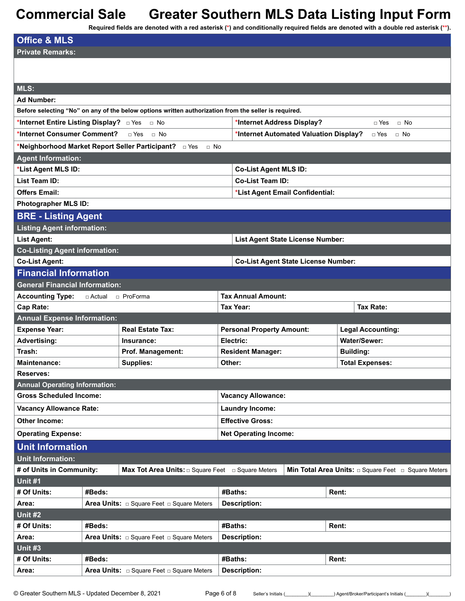| <b>Office &amp; MLS</b>                |          |                                                                                                      |                                            |                                                               |
|----------------------------------------|----------|------------------------------------------------------------------------------------------------------|--------------------------------------------|---------------------------------------------------------------|
| <b>Private Remarks:</b>                |          |                                                                                                      |                                            |                                                               |
|                                        |          |                                                                                                      |                                            |                                                               |
|                                        |          |                                                                                                      |                                            |                                                               |
| MLS:                                   |          |                                                                                                      |                                            |                                                               |
| <b>Ad Number:</b>                      |          |                                                                                                      |                                            |                                                               |
|                                        |          | Before selecting "No" on any of the below options written authorization from the seller is required. |                                            |                                                               |
| *Internet Entire Listing Display? DYes |          | $\Box$ No                                                                                            | *Internet Address Display?                 | $\Box$ No<br>□ Yes                                            |
| *Internet Consumer Comment?            |          | $\Box$ Yes<br>— No                                                                                   | *Internet Automated Valuation Display?     | □ Yes<br>$\Box$ No                                            |
|                                        |          | *Neighborhood Market Report Seller Participant? DYes<br>$\Box$ No                                    |                                            |                                                               |
| <b>Agent Information:</b>              |          |                                                                                                      |                                            |                                                               |
| *List Agent MLS ID:                    |          |                                                                                                      | <b>Co-List Agent MLS ID:</b>               |                                                               |
| List Team ID:                          |          |                                                                                                      | <b>Co-List Team ID:</b>                    |                                                               |
| <b>Offers Email:</b>                   |          |                                                                                                      | *List Agent Email Confidential:            |                                                               |
| Photographer MLS ID:                   |          |                                                                                                      |                                            |                                                               |
| <b>BRE - Listing Agent</b>             |          |                                                                                                      |                                            |                                                               |
| <b>Listing Agent information:</b>      |          |                                                                                                      |                                            |                                                               |
| <b>List Agent:</b>                     |          |                                                                                                      | List Agent State License Number:           |                                                               |
| <b>Co-Listing Agent information:</b>   |          |                                                                                                      |                                            |                                                               |
| <b>Co-List Agent:</b>                  |          |                                                                                                      | <b>Co-List Agent State License Number:</b> |                                                               |
| <b>Financial Information</b>           |          |                                                                                                      |                                            |                                                               |
| <b>General Financial Information:</b>  |          |                                                                                                      |                                            |                                                               |
| <b>Accounting Type:</b>                | □ Actual | $\Box$ ProForma                                                                                      | <b>Tax Annual Amount:</b>                  |                                                               |
|                                        |          |                                                                                                      |                                            |                                                               |
| Cap Rate:                              |          |                                                                                                      | Tax Year:                                  | <b>Tax Rate:</b>                                              |
| <b>Annual Expense Information:</b>     |          |                                                                                                      |                                            |                                                               |
| <b>Expense Year:</b>                   |          | <b>Real Estate Tax:</b>                                                                              | <b>Personal Property Amount:</b>           | <b>Legal Accounting:</b>                                      |
| <b>Advertising:</b>                    |          | Insurance:                                                                                           | Electric:                                  | <b>Water/Sewer:</b>                                           |
| Trash:                                 |          | Prof. Management:                                                                                    | <b>Resident Manager:</b>                   | <b>Building:</b>                                              |
| <b>Maintenance:</b>                    |          | <b>Supplies:</b>                                                                                     | Other:                                     | <b>Total Expenses:</b>                                        |
| <b>Reserves:</b>                       |          |                                                                                                      |                                            |                                                               |
| <b>Annual Operating Information:</b>   |          |                                                                                                      |                                            |                                                               |
| <b>Gross Scheduled Income:</b>         |          |                                                                                                      | <b>Vacancy Allowance:</b>                  |                                                               |
| <b>Vacancy Allowance Rate:</b>         |          |                                                                                                      | <b>Laundry Income:</b>                     |                                                               |
| <b>Other Income:</b>                   |          |                                                                                                      | <b>Effective Gross:</b>                    |                                                               |
| <b>Operating Expense:</b>              |          |                                                                                                      | <b>Net Operating Income:</b>               |                                                               |
| <b>Unit Information</b>                |          |                                                                                                      |                                            |                                                               |
| <b>Unit Information:</b>               |          |                                                                                                      |                                            |                                                               |
| # of Units in Community:               |          | <b>Max Tot Area Units:</b> $\Box$ Square Feet $\Box$ Square Meters                                   |                                            | Min Total Area Units: $\Box$ Square Feet $\Box$ Square Meters |
| Unit #1                                |          |                                                                                                      |                                            |                                                               |
| # Of Units:                            | #Beds:   |                                                                                                      | #Baths:                                    | Rent:                                                         |
| Area:                                  |          | <b>Area Units:</b> $\Box$ Square Feet $\Box$ Square Meters                                           | <b>Description:</b>                        |                                                               |
| Unit #2                                |          |                                                                                                      |                                            |                                                               |
| # Of Units:                            | #Beds:   |                                                                                                      | #Baths:                                    | Rent:                                                         |
| Area:                                  |          | <b>Area Units:</b> $\Box$ Square Feet $\Box$ Square Meters                                           | <b>Description:</b>                        |                                                               |
| Unit #3                                |          |                                                                                                      |                                            |                                                               |
| # Of Units:<br>Area:                   | #Beds:   |                                                                                                      | #Baths:<br><b>Description:</b>             | Rent:                                                         |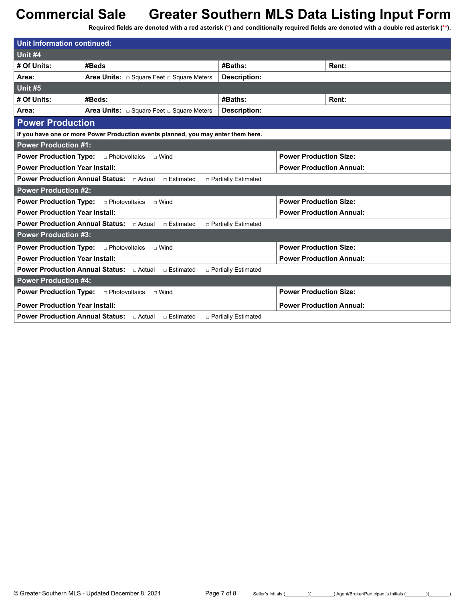| <b>Unit Information continued:</b>                                                               |                                                                                   |                       |                                 |       |  |
|--------------------------------------------------------------------------------------------------|-----------------------------------------------------------------------------------|-----------------------|---------------------------------|-------|--|
| Unit #4                                                                                          |                                                                                   |                       |                                 |       |  |
| # Of Units:                                                                                      | #Beds                                                                             | #Baths:               |                                 | Rent: |  |
| Area:                                                                                            | <b>Area Units:</b> $\Box$ Square Feet $\Box$ Square Meters                        | <b>Description:</b>   |                                 |       |  |
| Unit $#5$                                                                                        |                                                                                   |                       |                                 |       |  |
| # Of Units:                                                                                      | #Beds:                                                                            | #Baths:               |                                 | Rent: |  |
| Area:                                                                                            | <b>Area Units:</b> $\Box$ Square Feet $\Box$ Square Meters                        | Description:          |                                 |       |  |
| <b>Power Production</b>                                                                          |                                                                                   |                       |                                 |       |  |
|                                                                                                  | If you have one or more Power Production events planned, you may enter them here. |                       |                                 |       |  |
| <b>Power Production #1:</b>                                                                      |                                                                                   |                       |                                 |       |  |
| <b>Power Production Type:</b>                                                                    | □ Photovoltaics<br>$\Box$ Wind                                                    |                       | <b>Power Production Size:</b>   |       |  |
| <b>Power Production Year Install:</b>                                                            |                                                                                   |                       | <b>Power Production Annual:</b> |       |  |
| <b>Power Production Annual Status:</b> $\Box$ Actual $\Box$ Estimated<br>□ Partially Estimated   |                                                                                   |                       |                                 |       |  |
| <b>Power Production #2:</b>                                                                      |                                                                                   |                       |                                 |       |  |
| <b>Power Production Size:</b><br><b>Power Production Type:</b><br>□ Photovoltaics<br>$\Box$ Wind |                                                                                   |                       |                                 |       |  |
| <b>Power Production Year Install:</b>                                                            |                                                                                   |                       | <b>Power Production Annual:</b> |       |  |
| <b>Power Production Annual Status:</b> $\Box$ Actual $\Box$ Estimated<br>□ Partially Estimated   |                                                                                   |                       |                                 |       |  |
| <b>Power Production #3:</b>                                                                      |                                                                                   |                       |                                 |       |  |
| <b>Power Production Type:</b><br>□ Photovoltaics<br>$\sqcap$ Wind                                |                                                                                   |                       | <b>Power Production Size:</b>   |       |  |
| <b>Power Production Year Install:</b>                                                            |                                                                                   |                       | <b>Power Production Annual:</b> |       |  |
| <b>Power Production Annual Status:</b> □ Actual<br>□ Estimated<br>□ Partially Estimated          |                                                                                   |                       |                                 |       |  |
| <b>Power Production #4:</b>                                                                      |                                                                                   |                       |                                 |       |  |
| <b>Power Production Type:</b>                                                                    | <b>Power Production Size:</b><br>□ Photovoltaics<br>$\Box$ Wind                   |                       |                                 |       |  |
| <b>Power Production Year Install:</b>                                                            |                                                                                   |                       | <b>Power Production Annual:</b> |       |  |
|                                                                                                  | <b>Power Production Annual Status:</b> □ Actual<br>□ Estimated                    | □ Partially Estimated |                                 |       |  |